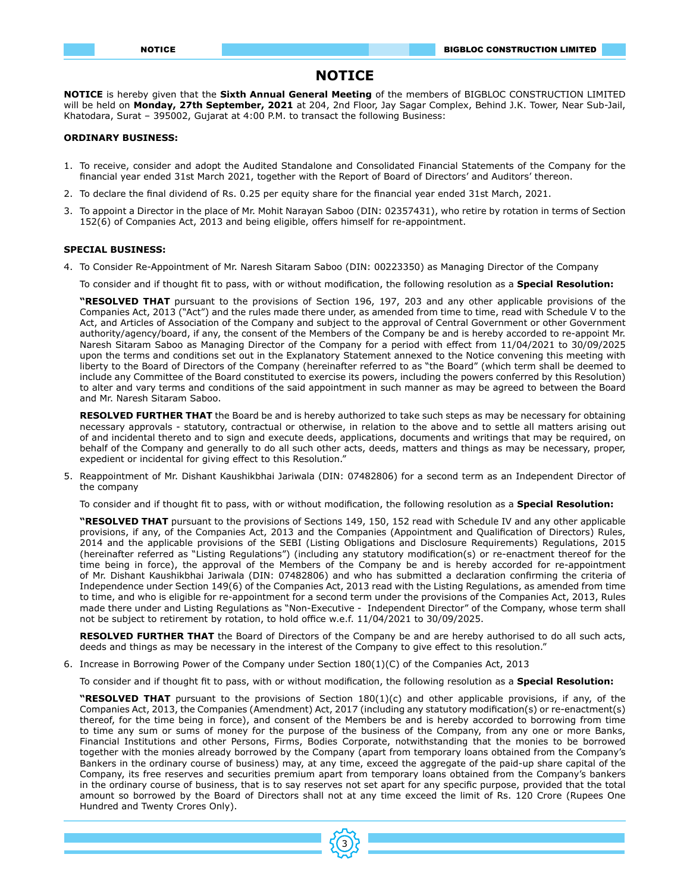# **NOTICE**

**NOTICE** is hereby given that the **Sixth Annual General Meeting** of the members of BIGBLOC CONSTRUCTION LIMITED will be held on **Monday, 27th September, 2021** at 204, 2nd Floor, Jay Sagar Complex, Behind J.K. Tower, Near Sub-Jail, Khatodara, Surat – 395002, Gujarat at 4:00 P.M. to transact the following Business:

# **ORDINARY BUSINESS:**

- 1. To receive, consider and adopt the Audited Standalone and Consolidated Financial Statements of the Company for the financial year ended 31st March 2021, together with the Report of Board of Directors' and Auditors' thereon.
- 2. To declare the final dividend of Rs. 0.25 per equity share for the financial year ended 31st March, 2021.
- 3. To appoint a Director in the place of Mr. Mohit Narayan Saboo (DIN: 02357431), who retire by rotation in terms of Section 152(6) of Companies Act, 2013 and being eligible, offers himself for re-appointment.

## **SPECIAL BUSINESS:**

4. To Consider Re-Appointment of Mr. Naresh Sitaram Saboo (DIN: 00223350) as Managing Director of the Company

To consider and if thought fit to pass, with or without modification, the following resolution as a **Special Resolution:** 

**"RESOLVED THAT** pursuant to the provisions of Section 196, 197, 203 and any other applicable provisions of the Companies Act, 2013 ("Act") and the rules made there under, as amended from time to time, read with Schedule V to the Act, and Articles of Association of the Company and subject to the approval of Central Government or other Government authority/agency/board, if any, the consent of the Members of the Company be and is hereby accorded to re-appoint Mr. Naresh Sitaram Saboo as Managing Director of the Company for a period with effect from 11/04/2021 to 30/09/2025 upon the terms and conditions set out in the Explanatory Statement annexed to the Notice convening this meeting with liberty to the Board of Directors of the Company (hereinafter referred to as "the Board" (which term shall be deemed to include any Committee of the Board constituted to exercise its powers, including the powers conferred by this Resolution) to alter and vary terms and conditions of the said appointment in such manner as may be agreed to between the Board and Mr. Naresh Sitaram Saboo.

**RESOLVED FURTHER THAT** the Board be and is hereby authorized to take such steps as may be necessary for obtaining necessary approvals - statutory, contractual or otherwise, in relation to the above and to settle all matters arising out of and incidental thereto and to sign and execute deeds, applications, documents and writings that may be required, on behalf of the Company and generally to do all such other acts, deeds, matters and things as may be necessary, proper, expedient or incidental for giving effect to this Resolution."

5. Reappointment of Mr. Dishant Kaushikbhai Jariwala (DIN: 07482806) for a second term as an Independent Director of the company

To consider and if thought fit to pass, with or without modification, the following resolution as a **Special Resolution:** 

**"RESOLVED THAT** pursuant to the provisions of Sections 149, 150, 152 read with Schedule IV and any other applicable provisions, if any, of the Companies Act, 2013 and the Companies (Appointment and Qualification of Directors) Rules, 2014 and the applicable provisions of the SEBI (Listing Obligations and Disclosure Requirements) Regulations, 2015 (hereinafter referred as "Listing Regulations") (including any statutory modification(s) or re-enactment thereof for the time being in force), the approval of the Members of the Company be and is hereby accorded for re-appointment of Mr. Dishant Kaushikbhai Jariwala (DIN: 07482806) and who has submitted a declaration confirming the criteria of Independence under Section 149(6) of the Companies Act, 2013 read with the Listing Regulations, as amended from time to time, and who is eligible for re-appointment for a second term under the provisions of the Companies Act, 2013, Rules made there under and Listing Regulations as "Non-Executive - Independent Director" of the Company, whose term shall not be subject to retirement by rotation, to hold office w.e.f. 11/04/2021 to 30/09/2025.

**RESOLVED FURTHER THAT** the Board of Directors of the Company be and are hereby authorised to do all such acts, deeds and things as may be necessary in the interest of the Company to give effect to this resolution."

6. Increase in Borrowing Power of the Company under Section 180(1)(C) of the Companies Act, 2013

To consider and if thought fit to pass, with or without modification, the following resolution as a **Special Resolution:**

**"RESOLVED THAT** pursuant to the provisions of Section 180(1)(c) and other applicable provisions, if any, of the Companies Act, 2013, the Companies (Amendment) Act, 2017 (including any statutory modification(s) or re-enactment(s) thereof, for the time being in force), and consent of the Members be and is hereby accorded to borrowing from time to time any sum or sums of money for the purpose of the business of the Company, from any one or more Banks, Financial Institutions and other Persons, Firms, Bodies Corporate, notwithstanding that the monies to be borrowed together with the monies already borrowed by the Company (apart from temporary loans obtained from the Company's Bankers in the ordinary course of business) may, at any time, exceed the aggregate of the paid-up share capital of the Company, its free reserves and securities premium apart from temporary loans obtained from the Company's bankers in the ordinary course of business, that is to say reserves not set apart for any specific purpose, provided that the total amount so borrowed by the Board of Directors shall not at any time exceed the limit of Rs. 120 Crore (Rupees One Hundred and Twenty Crores Only).

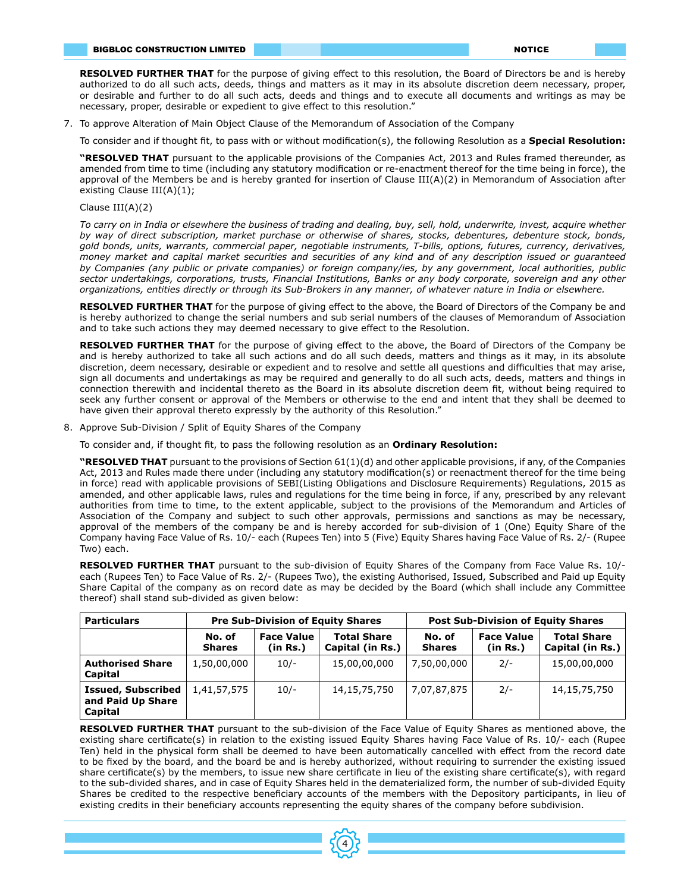**RESOLVED FURTHER THAT** for the purpose of giving effect to this resolution, the Board of Directors be and is hereby authorized to do all such acts, deeds, things and matters as it may in its absolute discretion deem necessary, proper, or desirable and further to do all such acts, deeds and things and to execute all documents and writings as may be necessary, proper, desirable or expedient to give effect to this resolution."

7. To approve Alteration of Main Object Clause of the Memorandum of Association of the Company

To consider and if thought fit, to pass with or without modification(s), the following Resolution as a **Special Resolution:**

**"RESOLVED THAT** pursuant to the applicable provisions of the Companies Act, 2013 and Rules framed thereunder, as amended from time to time (including any statutory modification or re-enactment thereof for the time being in force), the approval of the Members be and is hereby granted for insertion of Clause III(A)(2) in Memorandum of Association after existing Clause III(A)(1);

# Clause III(A)(2)

*To carry on in India or elsewhere the business of trading and dealing, buy, sell, hold, underwrite, invest, acquire whether by way of direct subscription, market purchase or otherwise of shares, stocks, debentures, debenture stock, bonds, gold bonds, units, warrants, commercial paper, negotiable instruments, T-bills, options, futures, currency, derivatives, money market and capital market securities and securities of any kind and of any description issued or guaranteed by Companies (any public or private companies) or foreign company/ies, by any government, local authorities, public sector undertakings, corporations, trusts, Financial Institutions, Banks or any body corporate, sovereign and any other organizations, entities directly or through its Sub-Brokers in any manner, of whatever nature in India or elsewhere.*

**RESOLVED FURTHER THAT** for the purpose of giving effect to the above, the Board of Directors of the Company be and is hereby authorized to change the serial numbers and sub serial numbers of the clauses of Memorandum of Association and to take such actions they may deemed necessary to give effect to the Resolution.

**RESOLVED FURTHER THAT** for the purpose of giving effect to the above, the Board of Directors of the Company be and is hereby authorized to take all such actions and do all such deeds, matters and things as it may, in its absolute discretion, deem necessary, desirable or expedient and to resolve and settle all questions and difficulties that may arise, sign all documents and undertakings as may be required and generally to do all such acts, deeds, matters and things in connection therewith and incidental thereto as the Board in its absolute discretion deem fit, without being required to seek any further consent or approval of the Members or otherwise to the end and intent that they shall be deemed to have given their approval thereto expressly by the authority of this Resolution."

8. Approve Sub-Division / Split of Equity Shares of the Company

To consider and, if thought fit, to pass the following resolution as an **Ordinary Resolution:**

**"RESOLVED THAT** pursuant to the provisions of Section 61(1)(d) and other applicable provisions, if any, of the Companies Act, 2013 and Rules made there under (including any statutory modification(s) or reenactment thereof for the time being in force) read with applicable provisions of SEBI(Listing Obligations and Disclosure Requirements) Regulations, 2015 as amended, and other applicable laws, rules and regulations for the time being in force, if any, prescribed by any relevant authorities from time to time, to the extent applicable, subject to the provisions of the Memorandum and Articles of Association of the Company and subject to such other approvals, permissions and sanctions as may be necessary, approval of the members of the company be and is hereby accorded for sub-division of 1 (One) Equity Share of the Company having Face Value of Rs. 10/- each (Rupees Ten) into 5 (Five) Equity Shares having Face Value of Rs. 2/- (Rupee Two) each.

**RESOLVED FURTHER THAT** pursuant to the sub-division of Equity Shares of the Company from Face Value Rs. 10/ each (Rupees Ten) to Face Value of Rs. 2/- (Rupees Two), the existing Authorised, Issued, Subscribed and Paid up Equity Share Capital of the company as on record date as may be decided by the Board (which shall include any Committee thereof) shall stand sub-divided as given below:

| <b>Particulars</b>                                        | <b>Pre Sub-Division of Equity Shares</b> |                               |                                        | <b>Post Sub-Division of Equity Shares</b> |                               |                                            |
|-----------------------------------------------------------|------------------------------------------|-------------------------------|----------------------------------------|-------------------------------------------|-------------------------------|--------------------------------------------|
|                                                           | No. of<br><b>Shares</b>                  | <b>Face Value</b><br>(in Rs.) | <b>Total Share</b><br>Capital (in Rs.) | No. of<br><b>Shares</b>                   | <b>Face Value</b><br>(in Rs.) | <b>Total Share</b><br>Capital (in Rs.) $ $ |
| <b>Authorised Share</b><br>Capital                        | 1,50,00,000                              | $10/-$                        | 15,00,00,000                           | 7,50,00,000                               | $2/-$                         | 15,00,00,000                               |
| <b>Issued, Subscribed</b><br>and Paid Up Share<br>Capital | 1,41,57,575                              | $10/-$                        | 14,15,75,750                           | 7,07,87,875                               | $2/-$                         | 14,15,75,750                               |

**RESOLVED FURTHER THAT** pursuant to the sub-division of the Face Value of Equity Shares as mentioned above, the existing share certificate(s) in relation to the existing issued Equity Shares having Face Value of Rs. 10/- each (Rupee Ten) held in the physical form shall be deemed to have been automatically cancelled with effect from the record date to be fixed by the board, and the board be and is hereby authorized, without requiring to surrender the existing issued share certificate(s) by the members, to issue new share certificate in lieu of the existing share certificate(s), with regard to the sub-divided shares, and in case of Equity Shares held in the dematerialized form, the number of sub-divided Equity Shares be credited to the respective beneficiary accounts of the members with the Depository participants, in lieu of existing credits in their beneficiary accounts representing the equity shares of the company before subdivision.

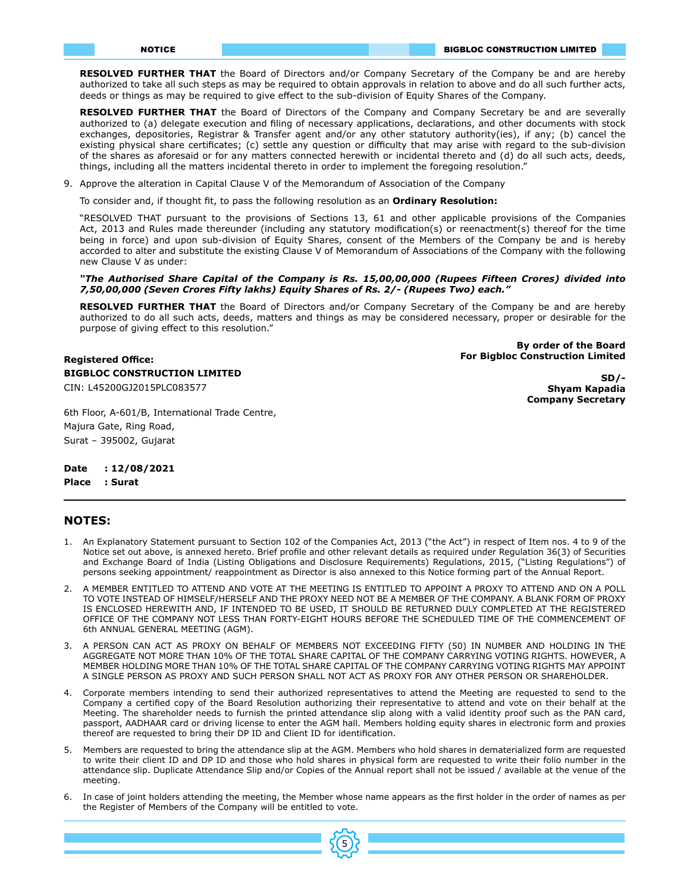**RESOLVED FURTHER THAT** the Board of Directors and/or Company Secretary of the Company be and are hereby authorized to take all such steps as may be required to obtain approvals in relation to above and do all such further acts, deeds or things as may be required to give effect to the sub-division of Equity Shares of the Company.

**RESOLVED FURTHER THAT** the Board of Directors of the Company and Company Secretary be and are severally authorized to (a) delegate execution and filing of necessary applications, declarations, and other documents with stock exchanges, depositories, Registrar & Transfer agent and/or any other statutory authority(ies), if any; (b) cancel the existing physical share certificates; (c) settle any question or difficulty that may arise with regard to the sub-division of the shares as aforesaid or for any matters connected herewith or incidental thereto and (d) do all such acts, deeds, things, including all the matters incidental thereto in order to implement the foregoing resolution."

9. Approve the alteration in Capital Clause V of the Memorandum of Association of the Company

To consider and, if thought fit, to pass the following resolution as an **Ordinary Resolution:**

"RESOLVED THAT pursuant to the provisions of Sections 13, 61 and other applicable provisions of the Companies Act, 2013 and Rules made thereunder (including any statutory modification(s) or reenactment(s) thereof for the time being in force) and upon sub-division of Equity Shares, consent of the Members of the Company be and is hereby accorded to alter and substitute the existing Clause V of Memorandum of Associations of the Company with the following new Clause V as under:

# *"The Authorised Share Capital of the Company is Rs. 15,00,00,000 (Rupees Fifteen Crores) divided into 7,50,00,000 (Seven Crores Fifty lakhs) Equity Shares of Rs. 2/- (Rupees Two) each."*

**RESOLVED FURTHER THAT** the Board of Directors and/or Company Secretary of the Company be and are hereby authorized to do all such acts, deeds, matters and things as may be considered necessary, proper or desirable for the purpose of giving effect to this resolution."

> **By order of the Board For Bigbloc Construction Limited**

> > **SD/-**

**Shyam Kapadia Company Secretary**

**BIGBLOC CONSTRUCTION LIMITED**  CIN: L45200GJ2015PLC083577

6th Floor, A-601/B, International Trade Centre, Majura Gate, Ring Road, Surat – 395002, Gujarat

**Date : 12/08/2021**

**Registered Office:**

**Place : Surat**

# **NOTES:**

- 1. An Explanatory Statement pursuant to Section 102 of the Companies Act, 2013 ("the Act") in respect of Item nos. 4 to 9 of the Notice set out above, is annexed hereto. Brief profile and other relevant details as required under Regulation 36(3) of Securities and Exchange Board of India (Listing Obligations and Disclosure Requirements) Regulations, 2015, ("Listing Regulations") of persons seeking appointment/ reappointment as Director is also annexed to this Notice forming part of the Annual Report.
- 2. A MEMBER ENTITLED TO ATTEND AND VOTE AT THE MEETING IS ENTITLED TO APPOINT A PROXY TO ATTEND AND ON A POLL TO VOTE INSTEAD OF HIMSELF/HERSELF AND THE PROXY NEED NOT BE A MEMBER OF THE COMPANY. A BLANK FORM OF PROXY IS ENCLOSED HEREWITH AND, IF INTENDED TO BE USED, IT SHOULD BE RETURNED DULY COMPLETED AT THE REGISTERED OFFICE OF THE COMPANY NOT LESS THAN FORTY-EIGHT HOURS BEFORE THE SCHEDULED TIME OF THE COMMENCEMENT OF 6th ANNUAL GENERAL MEETING (AGM).
- 3. A PERSON CAN ACT AS PROXY ON BEHALF OF MEMBERS NOT EXCEEDING FIFTY (50) IN NUMBER AND HOLDING IN THE AGGREGATE NOT MORE THAN 10% OF THE TOTAL SHARE CAPITAL OF THE COMPANY CARRYING VOTING RIGHTS. HOWEVER, A MEMBER HOLDING MORE THAN 10% OF THE TOTAL SHARE CAPITAL OF THE COMPANY CARRYING VOTING RIGHTS MAY APPOINT A SINGLE PERSON AS PROXY AND SUCH PERSON SHALL NOT ACT AS PROXY FOR ANY OTHER PERSON OR SHAREHOLDER.
- 4. Corporate members intending to send their authorized representatives to attend the Meeting are requested to send to the Company a certified copy of the Board Resolution authorizing their representative to attend and vote on their behalf at the Meeting. The shareholder needs to furnish the printed attendance slip along with a valid identity proof such as the PAN card, passport, AADHAAR card or driving license to enter the AGM hall. Members holding equity shares in electronic form and proxies thereof are requested to bring their DP ID and Client ID for identification.
- 5. Members are requested to bring the attendance slip at the AGM. Members who hold shares in dematerialized form are requested to write their client ID and DP ID and those who hold shares in physical form are requested to write their folio number in the attendance slip. Duplicate Attendance Slip and/or Copies of the Annual report shall not be issued / available at the venue of the meeting.
- 6. In case of joint holders attending the meeting, the Member whose name appears as the first holder in the order of names as per the Register of Members of the Company will be entitled to vote.

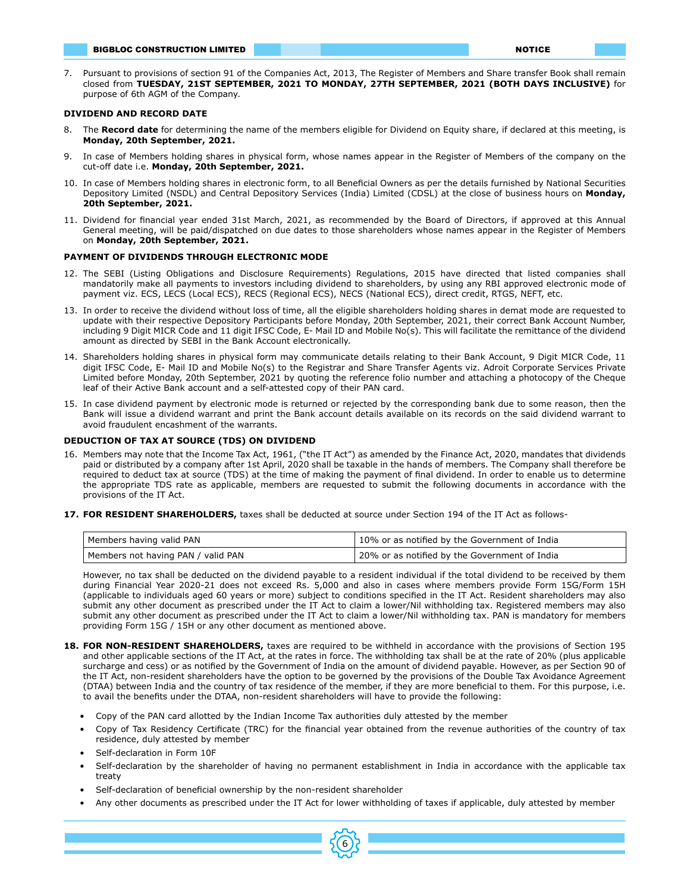#### BIGBLOC CONSTRUCTION LIMITED **No. 1999. In the construction of the construction** of the construction of the const

7. Pursuant to provisions of section 91 of the Companies Act, 2013, The Register of Members and Share transfer Book shall remain closed from **TUESDAY, 21ST SEPTEMBER, 2021 TO MONDAY, 27TH SEPTEMBER, 2021 (BOTH DAYS INCLUSIVE)** for purpose of 6th AGM of the Company.

### **DIVIDEND AND RECORD DATE**

- 8. The **Record date** for determining the name of the members eligible for Dividend on Equity share, if declared at this meeting, is **Monday, 20th September, 2021.**
- 9. In case of Members holding shares in physical form, whose names appear in the Register of Members of the company on the cut-off date i.e. **Monday, 20th September, 2021.**
- 10. In case of Members holding shares in electronic form, to all Beneficial Owners as per the details furnished by National Securities Depository Limited (NSDL) and Central Depository Services (India) Limited (CDSL) at the close of business hours on **Monday, 20th September, 2021.**
- 11. Dividend for financial year ended 31st March, 2021, as recommended by the Board of Directors, if approved at this Annual General meeting, will be paid/dispatched on due dates to those shareholders whose names appear in the Register of Members on **Monday, 20th September, 2021.**

# **PAYMENT OF DIVIDENDS THROUGH ELECTRONIC MODE**

- 12. The SEBI (Listing Obligations and Disclosure Requirements) Regulations, 2015 have directed that listed companies shall mandatorily make all payments to investors including dividend to shareholders, by using any RBI approved electronic mode of payment viz. ECS, LECS (Local ECS), RECS (Regional ECS), NECS (National ECS), direct credit, RTGS, NEFT, etc.
- 13. In order to receive the dividend without loss of time, all the eligible shareholders holding shares in demat mode are requested to update with their respective Depository Participants before Monday, 20th September, 2021, their correct Bank Account Number, including 9 Digit MICR Code and 11 digit IFSC Code, E- Mail ID and Mobile No(s). This will facilitate the remittance of the dividend amount as directed by SEBI in the Bank Account electronically.
- 14. Shareholders holding shares in physical form may communicate details relating to their Bank Account, 9 Digit MICR Code, 11 digit IFSC Code, E- Mail ID and Mobile No(s) to the Registrar and Share Transfer Agents viz. Adroit Corporate Services Private Limited before Monday, 20th September, 2021 by quoting the reference folio number and attaching a photocopy of the Cheque leaf of their Active Bank account and a self-attested copy of their PAN card.
- 15. In case dividend payment by electronic mode is returned or rejected by the corresponding bank due to some reason, then the Bank will issue a dividend warrant and print the Bank account details available on its records on the said dividend warrant to avoid fraudulent encashment of the warrants.

## **DEDUCTION OF TAX AT SOURCE (TDS) ON DIVIDEND**

- 16. Members may note that the Income Tax Act, 1961, ("the IT Act") as amended by the Finance Act, 2020, mandates that dividends paid or distributed by a company after 1st April, 2020 shall be taxable in the hands of members. The Company shall therefore be required to deduct tax at source (TDS) at the time of making the payment of final dividend. In order to enable us to determine the appropriate TDS rate as applicable, members are requested to submit the following documents in accordance with the provisions of the IT Act.
- **17. FOR RESIDENT SHAREHOLDERS,** taxes shall be deducted at source under Section 194 of the IT Act as follows-

| Members having valid PAN           | 10% or as notified by the Government of India |
|------------------------------------|-----------------------------------------------|
| Members not having PAN / valid PAN | 20% or as notified by the Government of India |

However, no tax shall be deducted on the dividend payable to a resident individual if the total dividend to be received by them during Financial Year 2020-21 does not exceed Rs. 5,000 and also in cases where members provide Form 15G/Form 15H (applicable to individuals aged 60 years or more) subject to conditions specified in the IT Act. Resident shareholders may also submit any other document as prescribed under the IT Act to claim a lower/Nil withholding tax. Registered members may also submit any other document as prescribed under the IT Act to claim a lower/Nil withholding tax. PAN is mandatory for members providing Form 15G / 15H or any other document as mentioned above.

- **18. FOR NON-RESIDENT SHAREHOLDERS,** taxes are required to be withheld in accordance with the provisions of Section 195 and other applicable sections of the IT Act, at the rates in force. The withholding tax shall be at the rate of 20% (plus applicable surcharge and cess) or as notified by the Government of India on the amount of dividend payable. However, as per Section 90 of the IT Act, non-resident shareholders have the option to be governed by the provisions of the Double Tax Avoidance Agreement (DTAA) between India and the country of tax residence of the member, if they are more beneficial to them. For this purpose, i.e. to avail the benefits under the DTAA, non-resident shareholders will have to provide the following:
	- Copy of the PAN card allotted by the Indian Income Tax authorities duly attested by the member
	- Copy of Tax Residency Certificate (TRC) for the financial year obtained from the revenue authorities of the country of tax residence, duly attested by member
	- Self-declaration in Form 10F
	- Self-declaration by the shareholder of having no permanent establishment in India in accordance with the applicable tax treaty
	- Self-declaration of beneficial ownership by the non-resident shareholder
	- Any other documents as prescribed under the IT Act for lower withholding of taxes if applicable, duly attested by member

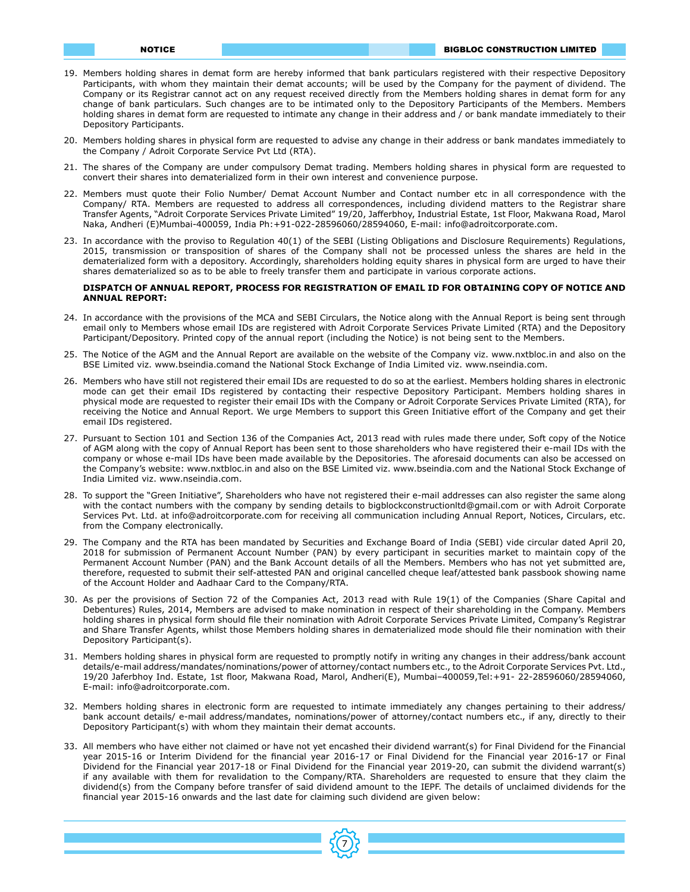- 19. Members holding shares in demat form are hereby informed that bank particulars registered with their respective Depository Participants, with whom they maintain their demat accounts; will be used by the Company for the payment of dividend. The Company or its Registrar cannot act on any request received directly from the Members holding shares in demat form for any change of bank particulars. Such changes are to be intimated only to the Depository Participants of the Members. Members holding shares in demat form are requested to intimate any change in their address and / or bank mandate immediately to their Depository Participants.
- 20. Members holding shares in physical form are requested to advise any change in their address or bank mandates immediately to the Company / Adroit Corporate Service Pvt Ltd (RTA).
- 21. The shares of the Company are under compulsory Demat trading. Members holding shares in physical form are requested to convert their shares into dematerialized form in their own interest and convenience purpose.
- 22. Members must quote their Folio Number/ Demat Account Number and Contact number etc in all correspondence with the Company/ RTA. Members are requested to address all correspondences, including dividend matters to the Registrar share Transfer Agents, "Adroit Corporate Services Private Limited" 19/20, Jafferbhoy, Industrial Estate, 1st Floor, Makwana Road, Marol Naka, Andheri (E)Mumbai-400059, India Ph:+91-022-28596060/28594060, E-mail: info@adroitcorporate.com.
- 23. In accordance with the proviso to Regulation 40(1) of the SEBI (Listing Obligations and Disclosure Requirements) Regulations, 2015, transmission or transposition of shares of the Company shall not be processed unless the shares are held in the dematerialized form with a depository. Accordingly, shareholders holding equity shares in physical form are urged to have their shares dematerialized so as to be able to freely transfer them and participate in various corporate actions.

#### **DISPATCH OF ANNUAL REPORT, PROCESS FOR REGISTRATION OF EMAIL ID FOR OBTAINING COPY OF NOTICE AND ANNUAL REPORT:**

- 24. In accordance with the provisions of the MCA and SEBI Circulars, the Notice along with the Annual Report is being sent through email only to Members whose email IDs are registered with Adroit Corporate Services Private Limited (RTA) and the Depository Participant/Depository. Printed copy of the annual report (including the Notice) is not being sent to the Members.
- 25. The Notice of the AGM and the Annual Report are available on the website of the Company viz. www.nxtbloc.in and also on the BSE Limited viz. www.bseindia.comand the National Stock Exchange of India Limited viz. www.nseindia.com.
- 26. Members who have still not registered their email IDs are requested to do so at the earliest. Members holding shares in electronic mode can get their email IDs registered by contacting their respective Depository Participant. Members holding shares in physical mode are requested to register their email IDs with the Company or Adroit Corporate Services Private Limited (RTA), for receiving the Notice and Annual Report. We urge Members to support this Green Initiative effort of the Company and get their email IDs registered.
- 27. Pursuant to Section 101 and Section 136 of the Companies Act, 2013 read with rules made there under, Soft copy of the Notice of AGM along with the copy of Annual Report has been sent to those shareholders who have registered their e-mail IDs with the company or whose e-mail IDs have been made available by the Depositories. The aforesaid documents can also be accessed on the Company's website: www.nxtbloc.in and also on the BSE Limited viz. www.bseindia.com and the National Stock Exchange of India Limited viz. www.nseindia.com.
- 28. To support the "Green Initiative", Shareholders who have not registered their e-mail addresses can also register the same along with the contact numbers with the company by sending details to bigblockconstructionltd@gmail.com or with Adroit Corporate Services Pvt. Ltd. at info@adroitcorporate.com for receiving all communication including Annual Report, Notices, Circulars, etc. from the Company electronically.
- 29. The Company and the RTA has been mandated by Securities and Exchange Board of India (SEBI) vide circular dated April 20, 2018 for submission of Permanent Account Number (PAN) by every participant in securities market to maintain copy of the Permanent Account Number (PAN) and the Bank Account details of all the Members. Members who has not yet submitted are, therefore, requested to submit their self-attested PAN and original cancelled cheque leaf/attested bank passbook showing name of the Account Holder and Aadhaar Card to the Company/RTA.
- 30. As per the provisions of Section 72 of the Companies Act, 2013 read with Rule 19(1) of the Companies (Share Capital and Debentures) Rules, 2014, Members are advised to make nomination in respect of their shareholding in the Company. Members holding shares in physical form should file their nomination with Adroit Corporate Services Private Limited, Company's Registrar and Share Transfer Agents, whilst those Members holding shares in dematerialized mode should file their nomination with their Depository Participant(s).
- 31. Members holding shares in physical form are requested to promptly notify in writing any changes in their address/bank account details/e-mail address/mandates/nominations/power of attorney/contact numbers etc., to the Adroit Corporate Services Pvt. Ltd., 19/20 Jaferbhoy Ind. Estate, 1st floor, Makwana Road, Marol, Andheri(E), Mumbai–400059,Tel:+91- 22-28596060/28594060, E-mail: info@adroitcorporate.com.
- 32. Members holding shares in electronic form are requested to intimate immediately any changes pertaining to their address/ bank account details/ e-mail address/mandates, nominations/power of attorney/contact numbers etc., if any, directly to their Depository Participant(s) with whom they maintain their demat accounts.
- 33. All members who have either not claimed or have not yet encashed their dividend warrant(s) for Final Dividend for the Financial year 2015-16 or Interim Dividend for the financial year 2016-17 or Final Dividend for the Financial year 2016-17 or Final Dividend for the Financial year 2017-18 or Final Dividend for the Financial year 2019-20, can submit the dividend warrant(s) if any available with them for revalidation to the Company/RTA. Shareholders are requested to ensure that they claim the dividend(s) from the Company before transfer of said dividend amount to the IEPF. The details of unclaimed dividends for the financial year 2015-16 onwards and the last date for claiming such dividend are given below:

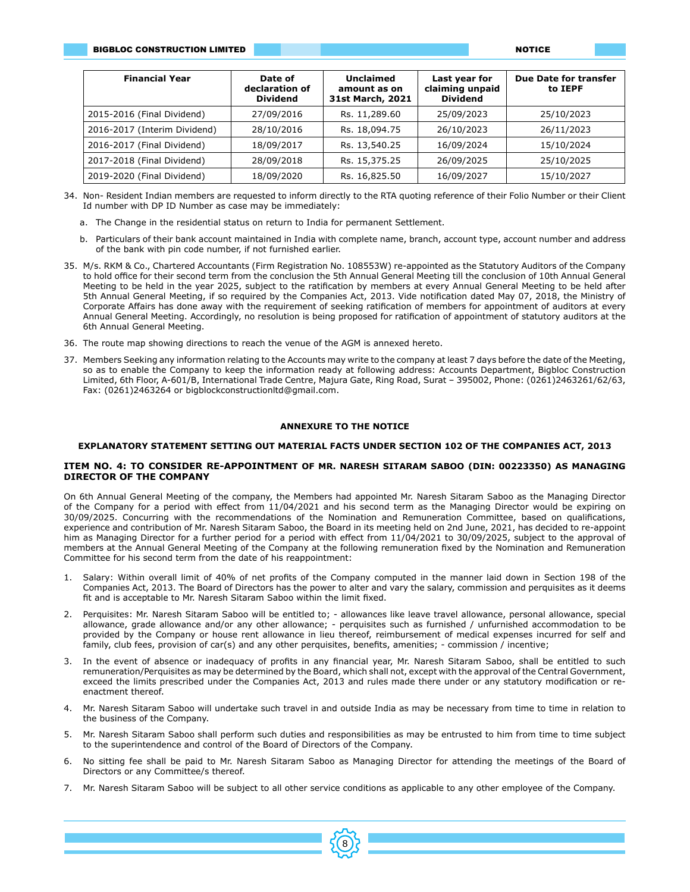| <b>Financial Year</b>        | Date of<br>declaration of<br><b>Dividend</b> | Unclaimed<br>amount as on<br>31st March, 2021 | Last year for<br>claiming unpaid<br><b>Dividend</b> | <b>Due Date for transfer</b><br>to IEPF |
|------------------------------|----------------------------------------------|-----------------------------------------------|-----------------------------------------------------|-----------------------------------------|
| 2015-2016 (Final Dividend)   | 27/09/2016                                   | Rs. 11,289.60                                 | 25/09/2023                                          | 25/10/2023                              |
| 2016-2017 (Interim Dividend) | 28/10/2016                                   | Rs. 18,094.75                                 | 26/10/2023                                          | 26/11/2023                              |
| 2016-2017 (Final Dividend)   | 18/09/2017                                   | Rs. 13,540.25                                 | 16/09/2024                                          | 15/10/2024                              |
| 2017-2018 (Final Dividend)   | 28/09/2018                                   | Rs. 15,375.25                                 | 26/09/2025                                          | 25/10/2025                              |
| 2019-2020 (Final Dividend)   | 18/09/2020                                   | Rs. 16,825.50                                 | 16/09/2027                                          | 15/10/2027                              |

- 34. Non- Resident Indian members are requested to inform directly to the RTA quoting reference of their Folio Number or their Client Id number with DP ID Number as case may be immediately:
	- a. The Change in the residential status on return to India for permanent Settlement.
	- b. Particulars of their bank account maintained in India with complete name, branch, account type, account number and address of the bank with pin code number, if not furnished earlier.
- 35. M/s. RKM & Co., Chartered Accountants (Firm Registration No. 108553W) re-appointed as the Statutory Auditors of the Company to hold office for their second term from the conclusion the 5th Annual General Meeting till the conclusion of 10th Annual General Meeting to be held in the year 2025, subject to the ratification by members at every Annual General Meeting to be held after 5th Annual General Meeting, if so required by the Companies Act, 2013. Vide notification dated May 07, 2018, the Ministry of Corporate Affairs has done away with the requirement of seeking ratification of members for appointment of auditors at every Annual General Meeting. Accordingly, no resolution is being proposed for ratification of appointment of statutory auditors at the 6th Annual General Meeting.
- 36. The route map showing directions to reach the venue of the AGM is annexed hereto.
- 37. Members Seeking any information relating to the Accounts may write to the company at least 7 days before the date of the Meeting, so as to enable the Company to keep the information ready at following address: Accounts Department, Bigbloc Construction Limited, 6th Floor, A-601/B, International Trade Centre, Majura Gate, Ring Road, Surat – 395002, Phone: (0261)2463261/62/63, Fax: (0261)2463264 or bigblockconstructionltd@gmail.com.

# **ANNEXURE TO THE NOTICE**

#### **EXPLANATORY STATEMENT SETTING OUT MATERIAL FACTS UNDER SECTION 102 OF THE COMPANIES ACT, 2013**

# **ITEM NO. 4: TO CONSIDER RE-APPOINTMENT OF MR. NARESH SITARAM SABOO (DIN: 00223350) AS MANAGING DIRECTOR OF THE COMPANY**

On 6th Annual General Meeting of the company, the Members had appointed Mr. Naresh Sitaram Saboo as the Managing Director of the Company for a period with effect from 11/04/2021 and his second term as the Managing Director would be expiring on 30/09/2025. Concurring with the recommendations of the Nomination and Remuneration Committee, based on qualifications, experience and contribution of Mr. Naresh Sitaram Saboo, the Board in its meeting held on 2nd June, 2021, has decided to re-appoint him as Managing Director for a further period for a period with effect from 11/04/2021 to 30/09/2025, subject to the approval of members at the Annual General Meeting of the Company at the following remuneration fixed by the Nomination and Remuneration Committee for his second term from the date of his reappointment:

- 1. Salary: Within overall limit of 40% of net profits of the Company computed in the manner laid down in Section 198 of the Companies Act, 2013. The Board of Directors has the power to alter and vary the salary, commission and perquisites as it deems fit and is acceptable to Mr. Naresh Sitaram Saboo within the limit fixed.
- 2. Perquisites: Mr. Naresh Sitaram Saboo will be entitled to; allowances like leave travel allowance, personal allowance, special allowance, grade allowance and/or any other allowance; - perquisites such as furnished / unfurnished accommodation to be provided by the Company or house rent allowance in lieu thereof, reimbursement of medical expenses incurred for self and family, club fees, provision of car(s) and any other perquisites, benefits, amenities; - commission / incentive;
- 3. In the event of absence or inadequacy of profits in any financial year, Mr. Naresh Sitaram Saboo, shall be entitled to such remuneration/Perquisites as may be determined by the Board, which shall not, except with the approval of the Central Government, exceed the limits prescribed under the Companies Act, 2013 and rules made there under or any statutory modification or reenactment thereof.
- 4. Mr. Naresh Sitaram Saboo will undertake such travel in and outside India as may be necessary from time to time in relation to the business of the Company.
- 5. Mr. Naresh Sitaram Saboo shall perform such duties and responsibilities as may be entrusted to him from time to time subject to the superintendence and control of the Board of Directors of the Company.
- 6. No sitting fee shall be paid to Mr. Naresh Sitaram Saboo as Managing Director for attending the meetings of the Board of Directors or any Committee/s thereof.
- 7. Mr. Naresh Sitaram Saboo will be subject to all other service conditions as applicable to any other employee of the Company.

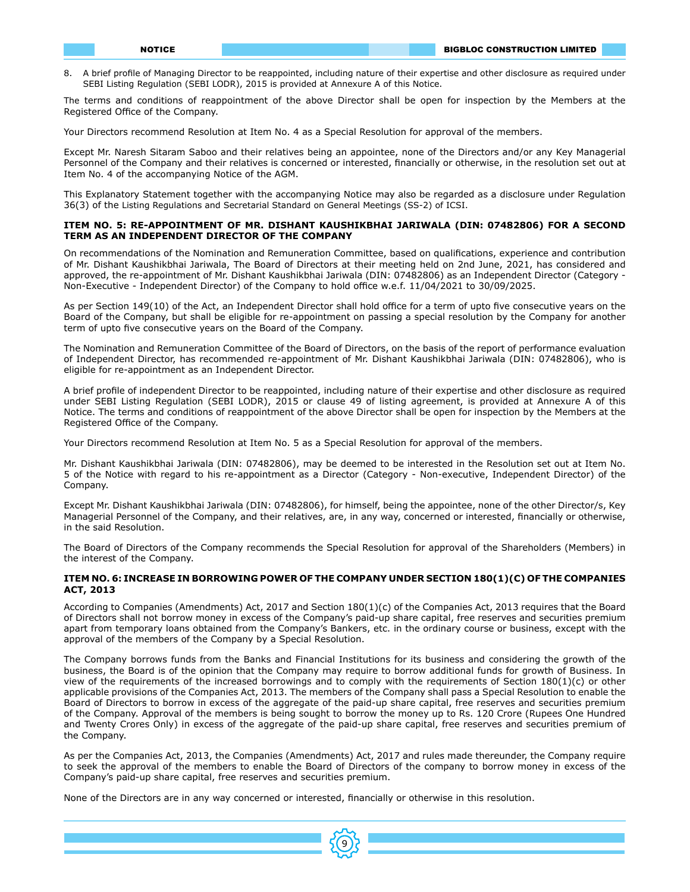8. A brief profile of Managing Director to be reappointed, including nature of their expertise and other disclosure as required under SEBI Listing Regulation (SEBI LODR), 2015 is provided at Annexure A of this Notice.

The terms and conditions of reappointment of the above Director shall be open for inspection by the Members at the Registered Office of the Company.

Your Directors recommend Resolution at Item No. 4 as a Special Resolution for approval of the members.

Except Mr. Naresh Sitaram Saboo and their relatives being an appointee, none of the Directors and/or any Key Managerial Personnel of the Company and their relatives is concerned or interested, financially or otherwise, in the resolution set out at Item No. 4 of the accompanying Notice of the AGM.

This Explanatory Statement together with the accompanying Notice may also be regarded as a disclosure under Regulation 36(3) of the Listing Regulations and Secretarial Standard on General Meetings (SS-2) of ICSI.

# **ITEM NO. 5: RE-APPOINTMENT OF MR. DISHANT KAUSHIKBHAI JARIWALA (DIN: 07482806) FOR A SECOND TERM AS AN INDEPENDENT DIRECTOR OF THE COMPANY**

On recommendations of the Nomination and Remuneration Committee, based on qualifications, experience and contribution of Mr. Dishant Kaushikbhai Jariwala, The Board of Directors at their meeting held on 2nd June, 2021, has considered and approved, the re-appointment of Mr. Dishant Kaushikbhai Jariwala (DIN: 07482806) as an Independent Director (Category - Non-Executive - Independent Director) of the Company to hold office w.e.f. 11/04/2021 to 30/09/2025.

As per Section 149(10) of the Act, an Independent Director shall hold office for a term of upto five consecutive years on the Board of the Company, but shall be eligible for re-appointment on passing a special resolution by the Company for another term of upto five consecutive years on the Board of the Company.

The Nomination and Remuneration Committee of the Board of Directors, on the basis of the report of performance evaluation of Independent Director, has recommended re-appointment of Mr. Dishant Kaushikbhai Jariwala (DIN: 07482806), who is eligible for re-appointment as an Independent Director.

A brief profile of independent Director to be reappointed, including nature of their expertise and other disclosure as required under SEBI Listing Regulation (SEBI LODR), 2015 or clause 49 of listing agreement, is provided at Annexure A of this Notice. The terms and conditions of reappointment of the above Director shall be open for inspection by the Members at the Registered Office of the Company.

Your Directors recommend Resolution at Item No. 5 as a Special Resolution for approval of the members.

Mr. Dishant Kaushikbhai Jariwala (DIN: 07482806), may be deemed to be interested in the Resolution set out at Item No. 5 of the Notice with regard to his re-appointment as a Director (Category - Non-executive, Independent Director) of the Company.

Except Mr. Dishant Kaushikbhai Jariwala (DIN: 07482806), for himself, being the appointee, none of the other Director/s, Key Managerial Personnel of the Company, and their relatives, are, in any way, concerned or interested, financially or otherwise, in the said Resolution.

The Board of Directors of the Company recommends the Special Resolution for approval of the Shareholders (Members) in the interest of the Company.

## **ITEM NO. 6: INCREASE IN BORROWING POWER OF THE COMPANY UNDER SECTION 180(1)(C) OF THE COMPANIES ACT, 2013**

According to Companies (Amendments) Act, 2017 and Section 180(1)(c) of the Companies Act, 2013 requires that the Board of Directors shall not borrow money in excess of the Company's paid-up share capital, free reserves and securities premium apart from temporary loans obtained from the Company's Bankers, etc. in the ordinary course or business, except with the approval of the members of the Company by a Special Resolution.

The Company borrows funds from the Banks and Financial Institutions for its business and considering the growth of the business, the Board is of the opinion that the Company may require to borrow additional funds for growth of Business. In view of the requirements of the increased borrowings and to comply with the requirements of Section 180(1)(c) or other applicable provisions of the Companies Act, 2013. The members of the Company shall pass a Special Resolution to enable the Board of Directors to borrow in excess of the aggregate of the paid-up share capital, free reserves and securities premium of the Company. Approval of the members is being sought to borrow the money up to Rs. 120 Crore (Rupees One Hundred and Twenty Crores Only) in excess of the aggregate of the paid-up share capital, free reserves and securities premium of the Company.

As per the Companies Act, 2013, the Companies (Amendments) Act, 2017 and rules made thereunder, the Company require to seek the approval of the members to enable the Board of Directors of the company to borrow money in excess of the Company's paid-up share capital, free reserves and securities premium.

None of the Directors are in any way concerned or interested, financially or otherwise in this resolution.

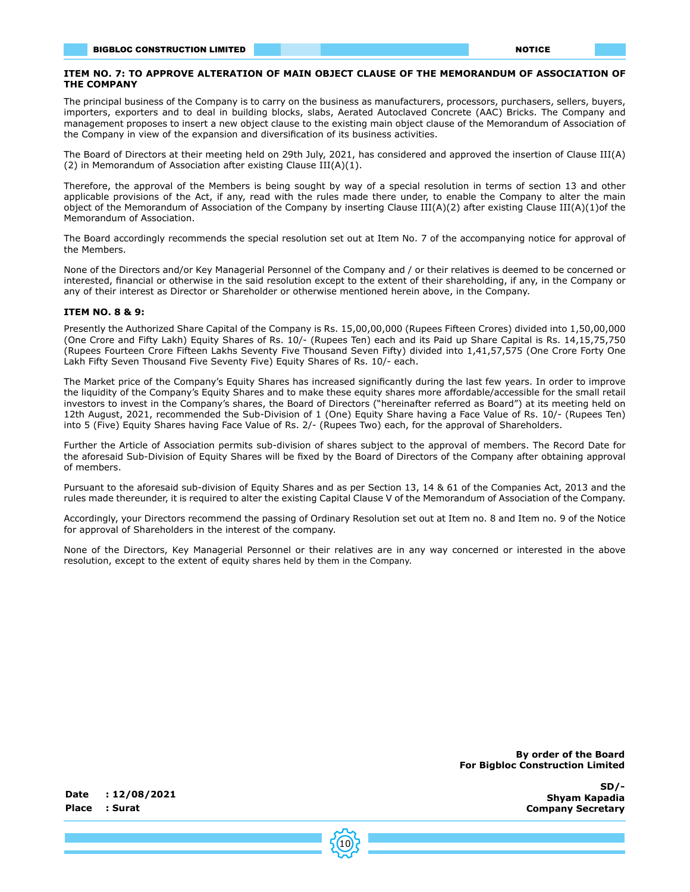# **ITEM NO. 7: TO APPROVE ALTERATION OF MAIN OBJECT CLAUSE OF THE MEMORANDUM OF ASSOCIATION OF THE COMPANY**

The principal business of the Company is to carry on the business as manufacturers, processors, purchasers, sellers, buyers, importers, exporters and to deal in building blocks, slabs, Aerated Autoclaved Concrete (AAC) Bricks. The Company and management proposes to insert a new object clause to the existing main object clause of the Memorandum of Association of the Company in view of the expansion and diversification of its business activities.

The Board of Directors at their meeting held on 29th July, 2021, has considered and approved the insertion of Clause III(A) (2) in Memorandum of Association after existing Clause III(A)(1).

Therefore, the approval of the Members is being sought by way of a special resolution in terms of section 13 and other applicable provisions of the Act, if any, read with the rules made there under, to enable the Company to alter the main object of the Memorandum of Association of the Company by inserting Clause III(A)(2) after existing Clause III(A)(1)of the Memorandum of Association.

The Board accordingly recommends the special resolution set out at Item No. 7 of the accompanying notice for approval of the Members.

None of the Directors and/or Key Managerial Personnel of the Company and / or their relatives is deemed to be concerned or interested, financial or otherwise in the said resolution except to the extent of their shareholding, if any, in the Company or any of their interest as Director or Shareholder or otherwise mentioned herein above, in the Company.

# **ITEM NO. 8 & 9:**

Presently the Authorized Share Capital of the Company is Rs. 15,00,00,000 (Rupees Fifteen Crores) divided into 1,50,00,000 (One Crore and Fifty Lakh) Equity Shares of Rs. 10/- (Rupees Ten) each and its Paid up Share Capital is Rs. 14,15,75,750 (Rupees Fourteen Crore Fifteen Lakhs Seventy Five Thousand Seven Fifty) divided into 1,41,57,575 (One Crore Forty One Lakh Fifty Seven Thousand Five Seventy Five) Equity Shares of Rs. 10/- each.

The Market price of the Company's Equity Shares has increased significantly during the last few years. In order to improve the liquidity of the Company's Equity Shares and to make these equity shares more affordable/accessible for the small retail investors to invest in the Company's shares, the Board of Directors ("hereinafter referred as Board") at its meeting held on 12th August, 2021, recommended the Sub-Division of 1 (One) Equity Share having a Face Value of Rs. 10/- (Rupees Ten) into 5 (Five) Equity Shares having Face Value of Rs. 2/- (Rupees Two) each, for the approval of Shareholders.

Further the Article of Association permits sub-division of shares subject to the approval of members. The Record Date for the aforesaid Sub-Division of Equity Shares will be fixed by the Board of Directors of the Company after obtaining approval of members.

Pursuant to the aforesaid sub-division of Equity Shares and as per Section 13, 14 & 61 of the Companies Act, 2013 and the rules made thereunder, it is required to alter the existing Capital Clause V of the Memorandum of Association of the Company.

Accordingly, your Directors recommend the passing of Ordinary Resolution set out at Item no. 8 and Item no. 9 of the Notice for approval of Shareholders in the interest of the company.

None of the Directors, Key Managerial Personnel or their relatives are in any way concerned or interested in the above resolution, except to the extent of equity shares held by them in the Company.

> **By order of the Board For Bigbloc Construction Limited**

> > **SD/- Shyam Kapadia Company Secretary**

**Date : 12/08/2021 Place : Surat**

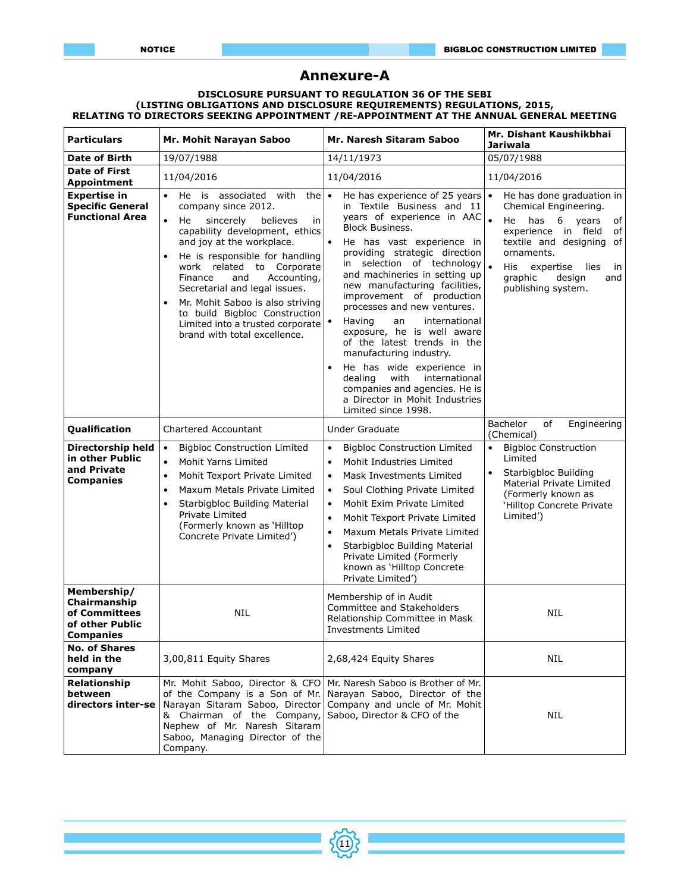# **Annexure-A**

#### **DISCLOSURE PURSUANT TO REGULATION 36 OF THE SEBI (LISTING OBLIGATIONS AND DISCLOSURE REQUIREMENTS) REGULATIONS, 2015, RELATING TO DIRECTORS SEEKING APPOINTMENT /RE-APPOINTMENT AT THE ANNUAL GENERAL MEETING**

| <b>Particulars</b>                                                                  | Mr. Mohit Narayan Saboo                                                                                                                                                                                                                                                                                                                                                                                                                                     | Mr. Naresh Sitaram Saboo                                                                                                                                                                                                                                                                                                                                                                                                                                                                                                                                                                                                                       | Mr. Dishant Kaushikbhai<br><b>Jariwala</b>                                                                                                                                                                                                                      |
|-------------------------------------------------------------------------------------|-------------------------------------------------------------------------------------------------------------------------------------------------------------------------------------------------------------------------------------------------------------------------------------------------------------------------------------------------------------------------------------------------------------------------------------------------------------|------------------------------------------------------------------------------------------------------------------------------------------------------------------------------------------------------------------------------------------------------------------------------------------------------------------------------------------------------------------------------------------------------------------------------------------------------------------------------------------------------------------------------------------------------------------------------------------------------------------------------------------------|-----------------------------------------------------------------------------------------------------------------------------------------------------------------------------------------------------------------------------------------------------------------|
| <b>Date of Birth</b>                                                                | 19/07/1988                                                                                                                                                                                                                                                                                                                                                                                                                                                  | 14/11/1973                                                                                                                                                                                                                                                                                                                                                                                                                                                                                                                                                                                                                                     | 05/07/1988                                                                                                                                                                                                                                                      |
| <b>Date of First</b><br><b>Appointment</b>                                          | 11/04/2016                                                                                                                                                                                                                                                                                                                                                                                                                                                  | 11/04/2016                                                                                                                                                                                                                                                                                                                                                                                                                                                                                                                                                                                                                                     | 11/04/2016                                                                                                                                                                                                                                                      |
| <b>Expertise in</b><br><b>Specific General</b><br><b>Functional Area</b>            | $\bullet$<br>He is associated with<br>the<br>company since 2012.<br>$\bullet$<br>sincerely<br>He<br>believes<br>in<br>capability development, ethics<br>and joy at the workplace.<br>He is responsible for handling<br>work related to Corporate<br>Finance<br>and<br>Accounting,<br>Secretarial and legal issues.<br>Mr. Mohit Saboo is also striving<br>to build Bigbloc Construction<br>Limited into a trusted corporate<br>brand with total excellence. | He has experience of 25 years<br>∣•<br>in Textile Business and 11<br>years of experience in $AAC$ .<br><b>Block Business.</b><br>He has vast experience in<br>providing strategic direction<br>selection of technology<br>in<br>and machineries in setting up<br>new manufacturing facilities,<br>improvement of production<br>processes and new ventures.<br>international<br>Having<br>an<br>exposure, he is well aware<br>of the latest trends in the<br>manufacturing industry.<br>He has wide experience in<br>international<br>dealing<br>with<br>companies and agencies. He is<br>a Director in Mohit Industries<br>Limited since 1998. | He has done graduation in<br>$\bullet$<br>Chemical Engineering.<br>He has 6 years<br>of<br>experience in field<br>of<br>textile and designing of<br>ornaments.<br>$\bullet$<br>His<br>expertise<br>lies<br>in<br>graphic<br>design<br>and<br>publishing system. |
| Qualification                                                                       | <b>Chartered Accountant</b>                                                                                                                                                                                                                                                                                                                                                                                                                                 | <b>Under Graduate</b>                                                                                                                                                                                                                                                                                                                                                                                                                                                                                                                                                                                                                          | <b>Bachelor</b><br>of<br>Engineering<br>(Chemical)                                                                                                                                                                                                              |
| Directorship held<br>in other Public<br>and Private<br><b>Companies</b>             | <b>Bigbloc Construction Limited</b><br>$\bullet$<br>Mohit Yarns Limited<br>$\bullet$<br>Mohit Texport Private Limited<br>$\bullet$<br>Maxum Metals Private Limited<br>$\bullet$<br>Starbigbloc Building Material<br>$\bullet$<br>Private Limited<br>(Formerly known as 'Hilltop<br>Concrete Private Limited')                                                                                                                                               | <b>Bigbloc Construction Limited</b><br>$\bullet$<br>Mohit Industries Limited<br>$\bullet$<br>Mask Investments Limited<br>$\bullet$<br>Soul Clothing Private Limited<br>$\bullet$<br>Mohit Exim Private Limited<br>$\bullet$<br>Mohit Texport Private Limited<br>$\bullet$<br>Maxum Metals Private Limited<br>$\bullet$<br>Starbigbloc Building Material<br>$\bullet$<br>Private Limited (Formerly<br>known as 'Hilltop Concrete<br>Private Limited')                                                                                                                                                                                           | <b>Bigbloc Construction</b><br>$\bullet$<br>Limited<br>Starbigbloc Building<br>Material Private Limited<br>(Formerly known as<br>'Hilltop Concrete Private<br>Limited')                                                                                         |
| Membership/<br>Chairmanship<br>of Committees<br>of other Public<br><b>Companies</b> | <b>NIL</b>                                                                                                                                                                                                                                                                                                                                                                                                                                                  | Membership of in Audit<br>Committee and Stakeholders<br>Relationship Committee in Mask<br>Investments Limited                                                                                                                                                                                                                                                                                                                                                                                                                                                                                                                                  | <b>NIL</b>                                                                                                                                                                                                                                                      |
| <b>No. of Shares</b><br>held in the<br>company                                      | 3,00,811 Equity Shares                                                                                                                                                                                                                                                                                                                                                                                                                                      | 2,68,424 Equity Shares                                                                                                                                                                                                                                                                                                                                                                                                                                                                                                                                                                                                                         | <b>NIL</b>                                                                                                                                                                                                                                                      |
| Relationship<br>between<br>directors inter-se                                       | Mr. Mohit Saboo, Director & CFO<br>of the Company is a Son of Mr.<br>Narayan Sitaram Saboo, Director<br>& Chairman of the Company,<br>Nephew of Mr. Naresh Sitaram<br>Saboo, Managing Director of the<br>Company.                                                                                                                                                                                                                                           | Mr. Naresh Saboo is Brother of Mr.<br>Narayan Saboo, Director of the<br>Company and uncle of Mr. Mohit<br>Saboo, Director & CFO of the                                                                                                                                                                                                                                                                                                                                                                                                                                                                                                         | <b>NIL</b>                                                                                                                                                                                                                                                      |

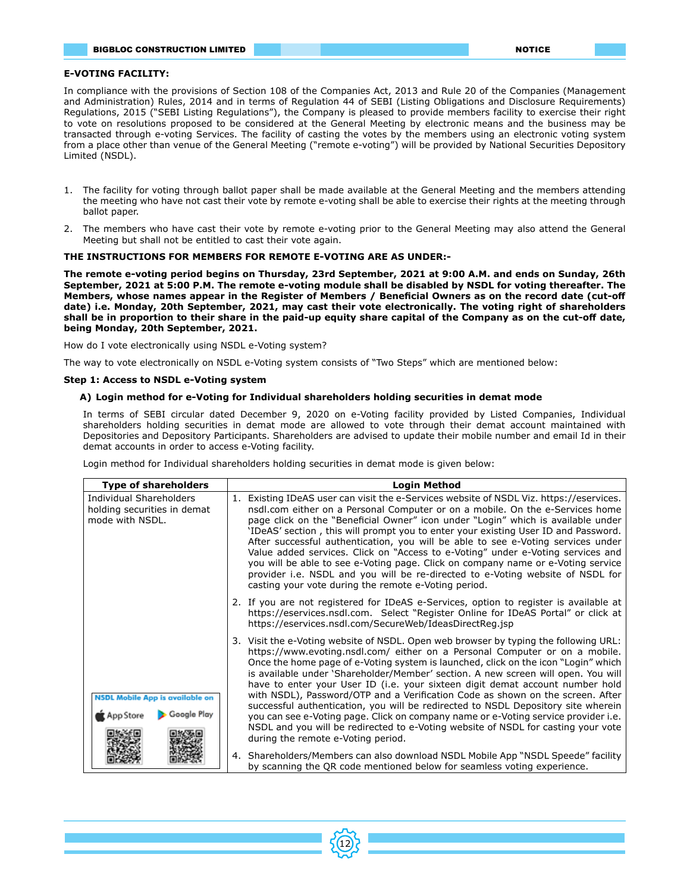## **E-VOTING FACILITY:**

In compliance with the provisions of Section 108 of the Companies Act, 2013 and Rule 20 of the Companies (Management and Administration) Rules, 2014 and in terms of Regulation 44 of SEBI (Listing Obligations and Disclosure Requirements) Regulations, 2015 ("SEBI Listing Regulations"), the Company is pleased to provide members facility to exercise their right to vote on resolutions proposed to be considered at the General Meeting by electronic means and the business may be transacted through e-voting Services. The facility of casting the votes by the members using an electronic voting system from a place other than venue of the General Meeting ("remote e-voting") will be provided by National Securities Depository Limited (NSDL).

- 1. The facility for voting through ballot paper shall be made available at the General Meeting and the members attending the meeting who have not cast their vote by remote e-voting shall be able to exercise their rights at the meeting through ballot paper.
- 2. The members who have cast their vote by remote e-voting prior to the General Meeting may also attend the General Meeting but shall not be entitled to cast their vote again.

## **THE INSTRUCTIONS FOR MEMBERS FOR REMOTE E-VOTING ARE AS UNDER:-**

**The remote e-voting period begins on Thursday, 23rd September, 2021 at 9:00 A.M. and ends on Sunday, 26th September, 2021 at 5:00 P.M. The remote e-voting module shall be disabled by NSDL for voting thereafter. The Members, whose names appear in the Register of Members / Beneficial Owners as on the record date (cut-off date) i.e. Monday, 20th September, 2021, may cast their vote electronically. The voting right of shareholders shall be in proportion to their share in the paid-up equity share capital of the Company as on the cut-off date, being Monday, 20th September, 2021.**

How do I vote electronically using NSDL e-Voting system?

The way to vote electronically on NSDL e-Voting system consists of "Two Steps" which are mentioned below:

#### **Step 1: Access to NSDL e-Voting system**

#### **A) Login method for e-Voting for Individual shareholders holding securities in demat mode**

In terms of SEBI circular dated December 9, 2020 on e-Voting facility provided by Listed Companies, Individual shareholders holding securities in demat mode are allowed to vote through their demat account maintained with Depositories and Depository Participants. Shareholders are advised to update their mobile number and email Id in their demat accounts in order to access e-Voting facility.

Login method for Individual shareholders holding securities in demat mode is given below:

| <b>Type of shareholders</b>                                               | <b>Login Method</b>                                                                                                                                                                                                                                                                                                                                                                                                                                                                                                                                                                                                                                                                                                                                                                                                     |  |  |
|---------------------------------------------------------------------------|-------------------------------------------------------------------------------------------------------------------------------------------------------------------------------------------------------------------------------------------------------------------------------------------------------------------------------------------------------------------------------------------------------------------------------------------------------------------------------------------------------------------------------------------------------------------------------------------------------------------------------------------------------------------------------------------------------------------------------------------------------------------------------------------------------------------------|--|--|
| Individual Shareholders<br>holding securities in demat<br>mode with NSDL. | Existing IDeAS user can visit the e-Services website of NSDL Viz. https://eservices.<br>nsdl.com either on a Personal Computer or on a mobile. On the e-Services home<br>page click on the "Beneficial Owner" icon under "Login" which is available under<br>'IDeAS' section, this will prompt you to enter your existing User ID and Password.<br>After successful authentication, you will be able to see e-Voting services under<br>Value added services. Click on "Access to e-Voting" under e-Voting services and<br>you will be able to see e-Voting page. Click on company name or e-Voting service<br>provider i.e. NSDL and you will be re-directed to e-Voting website of NSDL for<br>casting your vote during the remote e-Voting period.                                                                    |  |  |
|                                                                           | 2. If you are not registered for IDeAS e-Services, option to register is available at<br>https://eservices.nsdl.com. Select "Register Online for IDeAS Portal" or click at<br>https://eservices.nsdl.com/SecureWeb/IdeasDirectReg.jsp                                                                                                                                                                                                                                                                                                                                                                                                                                                                                                                                                                                   |  |  |
| <b>NSDL Mobile App is available on</b><br>Google Plav                     | 3. Visit the e-Voting website of NSDL. Open web browser by typing the following URL:<br>https://www.evoting.nsdl.com/ either on a Personal Computer or on a mobile.<br>Once the home page of e-Voting system is launched, click on the icon "Login" which<br>is available under 'Shareholder/Member' section. A new screen will open. You will<br>have to enter your User ID (i.e. your sixteen digit demat account number hold<br>with NSDL), Password/OTP and a Verification Code as shown on the screen. After<br>successful authentication, you will be redirected to NSDL Depository site wherein<br>you can see e-Voting page. Click on company name or e-Voting service provider i.e.<br>NSDL and you will be redirected to e-Voting website of NSDL for casting your vote<br>during the remote e-Voting period. |  |  |
|                                                                           | 4. Shareholders/Members can also download NSDL Mobile App "NSDL Speede" facility<br>by scanning the QR code mentioned below for seamless voting experience.                                                                                                                                                                                                                                                                                                                                                                                                                                                                                                                                                                                                                                                             |  |  |

12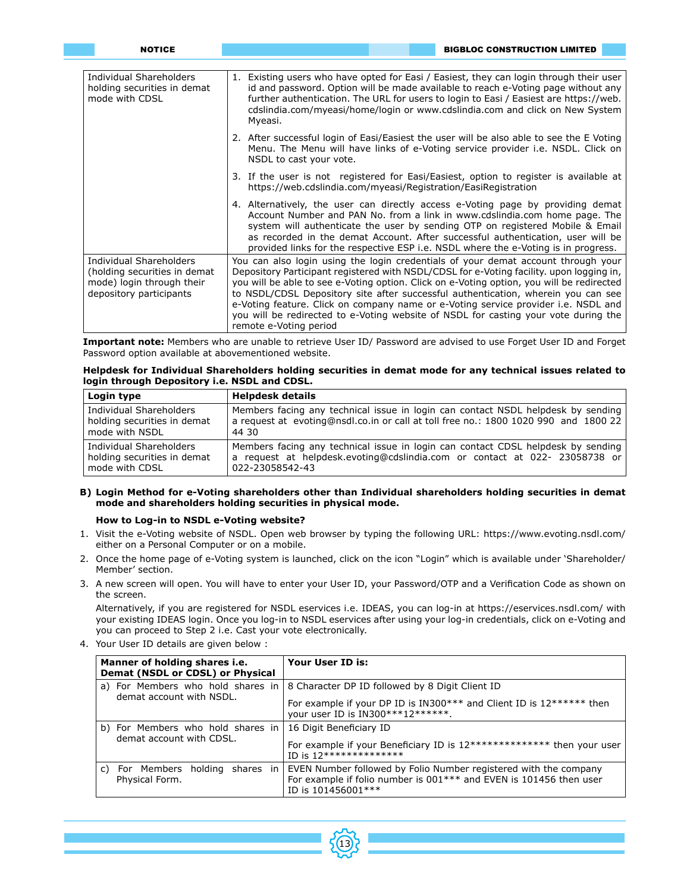| <b>NOTICE</b>                                                                                                   | <b>BIGBLOC CONSTRUCTION LIMITED</b>                                                                                                                                                                                                                                                                                                                                                                                                                                                                                                                                    |
|-----------------------------------------------------------------------------------------------------------------|------------------------------------------------------------------------------------------------------------------------------------------------------------------------------------------------------------------------------------------------------------------------------------------------------------------------------------------------------------------------------------------------------------------------------------------------------------------------------------------------------------------------------------------------------------------------|
|                                                                                                                 |                                                                                                                                                                                                                                                                                                                                                                                                                                                                                                                                                                        |
| Individual Shareholders<br>holding securities in demat<br>mode with CDSL                                        | 1. Existing users who have opted for Easi / Easiest, they can login through their user<br>id and password. Option will be made available to reach e-Voting page without any<br>further authentication. The URL for users to login to Easi / Easiest are https://web.<br>cdslindia.com/myeasi/home/login or www.cdslindia.com and click on New System<br>Myeasi.                                                                                                                                                                                                        |
|                                                                                                                 | 2. After successful login of Easi/Easiest the user will be also able to see the E Voting<br>Menu. The Menu will have links of e-Voting service provider i.e. NSDL. Click on<br>NSDL to cast your vote.                                                                                                                                                                                                                                                                                                                                                                 |
|                                                                                                                 | 3. If the user is not registered for Easi/Easiest, option to register is available at<br>https://web.cdslindia.com/myeasi/Registration/EasiRegistration                                                                                                                                                                                                                                                                                                                                                                                                                |
|                                                                                                                 | 4. Alternatively, the user can directly access e-Voting page by providing demat<br>Account Number and PAN No. from a link in www.cdslindia.com home page. The<br>system will authenticate the user by sending OTP on registered Mobile & Email<br>as recorded in the demat Account. After successful authentication, user will be<br>provided links for the respective ESP i.e. NSDL where the e-Voting is in progress.                                                                                                                                                |
| Individual Shareholders<br>(holding securities in demat<br>mode) login through their<br>depository participants | You can also login using the login credentials of your demat account through your<br>Depository Participant registered with NSDL/CDSL for e-Voting facility, upon logging in,<br>you will be able to see e-Voting option. Click on e-Voting option, you will be redirected<br>to NSDL/CDSL Depository site after successful authentication, wherein you can see<br>e-Voting feature. Click on company name or e-Voting service provider i.e. NSDL and<br>you will be redirected to e-Voting website of NSDL for casting your vote during the<br>remote e-Voting period |

**Important note:** Members who are unable to retrieve User ID/ Password are advised to use Forget User ID and Forget Password option available at abovementioned website.

# **Helpdesk for Individual Shareholders holding securities in demat mode for any technical issues related to login through Depository i.e. NSDL and CDSL.**

| Login type                  | <b>Helpdesk details</b>                                                             |
|-----------------------------|-------------------------------------------------------------------------------------|
| Individual Shareholders     | Members facing any technical issue in login can contact NSDL helpdesk by sending    |
| holding securities in demat | a request at evoting@nsdl.co.in or call at toll free no.: 1800 1020 990 and 1800 22 |
| mode with NSDL              | 44 30                                                                               |
| Individual Shareholders     | Members facing any technical issue in login can contact CDSL helpdesk by sending    |
| holding securities in demat | a request at helpdesk.evoting@cdslindia.com or contact at 022- 23058738 or          |
| mode with CDSL              | 022-23058542-43                                                                     |

# **B) Login Method for e-Voting shareholders other than Individual shareholders holding securities in demat mode and shareholders holding securities in physical mode.**

# **How to Log-in to NSDL e-Voting website?**

- 1. Visit the e-Voting website of NSDL. Open web browser by typing the following URL: https://www.evoting.nsdl.com/ either on a Personal Computer or on a mobile.
- 2. Once the home page of e-Voting system is launched, click on the icon "Login" which is available under 'Shareholder/ Member' section.
- 3. A new screen will open. You will have to enter your User ID, your Password/OTP and a Verification Code as shown on the screen.

Alternatively, if you are registered for NSDL eservices i.e. IDEAS, you can log-in at https://eservices.nsdl.com/ with your existing IDEAS login. Once you log-in to NSDL eservices after using your log-in credentials, click on e-Voting and you can proceed to Step 2 i.e. Cast your vote electronically.

4. Your User ID details are given below :

| Manner of holding shares i.e.<br>Demat (NSDL or CDSL) or Physical | Your User ID is:                                                                                                                                                         |
|-------------------------------------------------------------------|--------------------------------------------------------------------------------------------------------------------------------------------------------------------------|
| a) For Members who hold shares in<br>demat account with NSDL.     | 8 Character DP ID followed by 8 Digit Client ID<br>For example if your DP ID is IN300*** and Client ID is 12****** then<br>your user ID is IN300****12******.            |
| b) For Members who hold shares in<br>demat account with CDSL.     | 16 Digit Beneficiary ID<br>For example if your Beneficiary ID is $12*************$ then your user<br>ID is $12*********************$                                     |
| For Members holding shares in<br>C)<br>Physical Form.             | EVEN Number followed by Folio Number registered with the company<br>For example if folio number is 001 <sup>***</sup> and EVEN is 101456 then user<br>ID is 101456001*** |

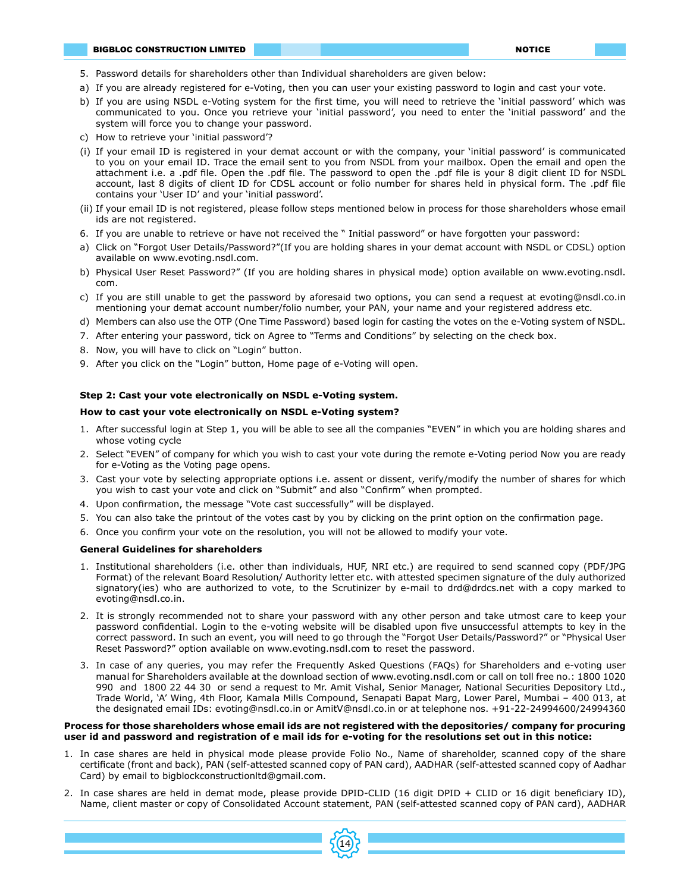- 5. Password details for shareholders other than Individual shareholders are given below:
- a) If you are already registered for e-Voting, then you can user your existing password to login and cast your vote.
- b) If you are using NSDL e-Voting system for the first time, you will need to retrieve the 'initial password' which was communicated to you. Once you retrieve your 'initial password', you need to enter the 'initial password' and the system will force you to change your password.
- c) How to retrieve your 'initial password'?
- (i) If your email ID is registered in your demat account or with the company, your 'initial password' is communicated to you on your email ID. Trace the email sent to you from NSDL from your mailbox. Open the email and open the attachment i.e. a .pdf file. Open the .pdf file. The password to open the .pdf file is your 8 digit client ID for NSDL account, last 8 digits of client ID for CDSL account or folio number for shares held in physical form. The .pdf file contains your 'User ID' and your 'initial password'.
- (ii) If your email ID is not registered, please follow steps mentioned below in process for those shareholders whose email ids are not registered.
- 6. If you are unable to retrieve or have not received the " Initial password" or have forgotten your password:
- a) Click on "Forgot User Details/Password?"(If you are holding shares in your demat account with NSDL or CDSL) option available on www.evoting.nsdl.com.
- b) Physical User Reset Password?" (If you are holding shares in physical mode) option available on www.evoting.nsdl. com.
- c) If you are still unable to get the password by aforesaid two options, you can send a request at evoting@nsdl.co.in mentioning your demat account number/folio number, your PAN, your name and your registered address etc.
- d) Members can also use the OTP (One Time Password) based login for casting the votes on the e-Voting system of NSDL.
- 7. After entering your password, tick on Agree to "Terms and Conditions" by selecting on the check box.
- 8. Now, you will have to click on "Login" button.
- 9. After you click on the "Login" button, Home page of e-Voting will open.

# **Step 2: Cast your vote electronically on NSDL e-Voting system.**

#### **How to cast your vote electronically on NSDL e-Voting system?**

- 1. After successful login at Step 1, you will be able to see all the companies "EVEN" in which you are holding shares and whose voting cycle
- 2. Select "EVEN" of company for which you wish to cast your vote during the remote e-Voting period Now you are ready for e-Voting as the Voting page opens.
- 3. Cast your vote by selecting appropriate options i.e. assent or dissent, verify/modify the number of shares for which you wish to cast your vote and click on "Submit" and also "Confirm" when prompted.
- 4. Upon confirmation, the message "Vote cast successfully" will be displayed.
- 5. You can also take the printout of the votes cast by you by clicking on the print option on the confirmation page.
- 6. Once you confirm your vote on the resolution, you will not be allowed to modify your vote.

#### **General Guidelines for shareholders**

- 1. Institutional shareholders (i.e. other than individuals, HUF, NRI etc.) are required to send scanned copy (PDF/JPG Format) of the relevant Board Resolution/ Authority letter etc. with attested specimen signature of the duly authorized signatory(ies) who are authorized to vote, to the Scrutinizer by e-mail to drd@drdcs.net with a copy marked to evoting@nsdl.co.in.
- 2. It is strongly recommended not to share your password with any other person and take utmost care to keep your password confidential. Login to the e-voting website will be disabled upon five unsuccessful attempts to key in the correct password. In such an event, you will need to go through the "Forgot User Details/Password?" or "Physical User Reset Password?" option available on www.evoting.nsdl.com to reset the password.
- 3. In case of any queries, you may refer the Frequently Asked Questions (FAQs) for Shareholders and e-voting user manual for Shareholders available at the download section of www.evoting.nsdl.com or call on toll free no.: 1800 1020 990 and 1800 22 44 30 or send a request to Mr. Amit Vishal, Senior Manager, National Securities Depository Ltd., Trade World, 'A' Wing, 4th Floor, Kamala Mills Compound, Senapati Bapat Marg, Lower Parel, Mumbai – 400 013, at the designated email IDs: evoting@nsdl.co.in or AmitV@nsdl.co.in or at telephone nos. +91-22-24994600/24994360

#### **Process for those shareholders whose email ids are not registered with the depositories/ company for procuring user id and password and registration of e mail ids for e-voting for the resolutions set out in this notice:**

- 1. In case shares are held in physical mode please provide Folio No., Name of shareholder, scanned copy of the share certificate (front and back), PAN (self-attested scanned copy of PAN card), AADHAR (self-attested scanned copy of Aadhar Card) by email to bigblockconstructionltd@gmail.com.
- 2. In case shares are held in demat mode, please provide DPID-CLID (16 digit DPID + CLID or 16 digit beneficiary ID), Name, client master or copy of Consolidated Account statement, PAN (self-attested scanned copy of PAN card), AADHAR